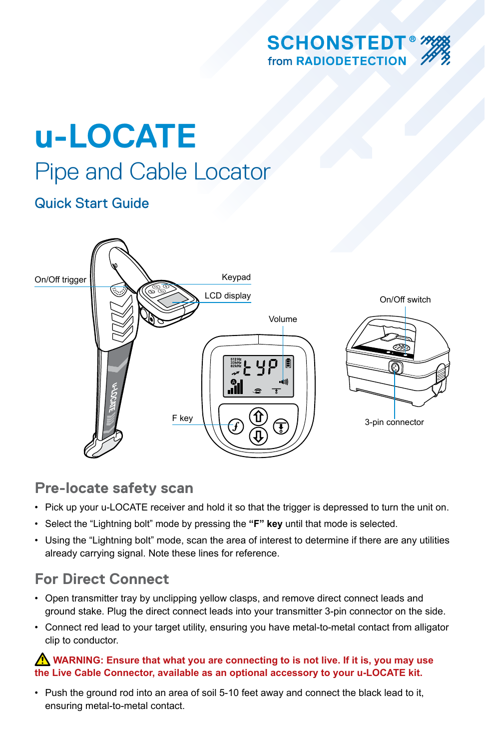

# **u-LOCATE** Pipe and Cable Locator

## Quick Start Guide



## **Pre-locate safety scan**

- Pick up your u-LOCATE receiver and hold it so that the trigger is depressed to turn the unit on.
- Select the "Lightning bolt" mode by pressing the **"F" key** until that mode is selected.
- Using the "Lightning bolt" mode, scan the area of interest to determine if there are any utilities already carrying signal. Note these lines for reference.

## **For Direct Connect**

- Open transmitter tray by unclipping yellow clasps, and remove direct connect leads and ground stake. Plug the direct connect leads into your transmitter 3-pin connector on the side.
- Connect red lead to your target utility, ensuring you have metal-to-metal contact from alligator clip to conductor.

#### *A* **WARNING: Ensure that what you are connecting to is not live. If it is, you may use the Live Cable Connector, available as an optional accessory to your u-LOCATE kit.**

• Push the ground rod into an area of soil 5-10 feet away and connect the black lead to it, ensuring metal-to-metal contact.